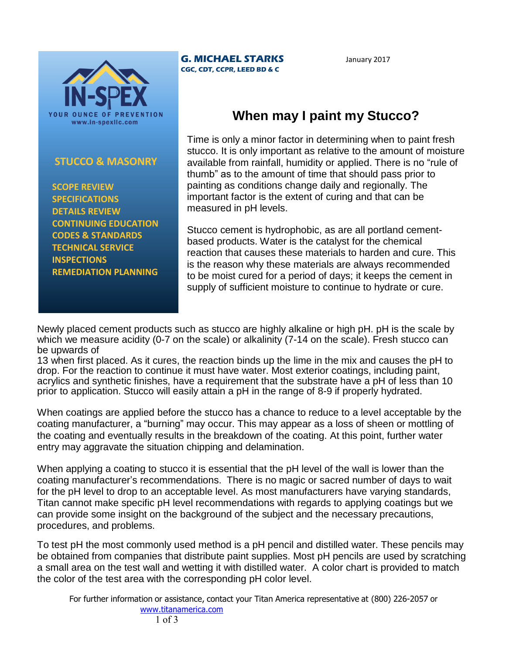

## **STUCCO & MASONRY**

 **SCOPE REVIEW SPECIFICATIONS DETAILS REVIEW CONTINUING EDUCATION CODES & STANDARDS TECHNICAL SERVICE INSPECTIONS REMEDIATION PLANNING**

## **G. MICHAEL STARKS CGC, CDT, CCPR, LEED BD & C**

January 2017

## **When may I paint my Stucco?**

Time is only a minor factor in determining when to paint fresh stucco. It is only important as relative to the amount of moisture available from rainfall, humidity or applied. There is no "rule of thumb" as to the amount of time that should pass prior to painting as conditions change daily and regionally. The important factor is the extent of curing and that can be measured in pH levels.

Stucco cement is hydrophobic, as are all portland cementbased products. Water is the catalyst for the chemical reaction that causes these materials to harden and cure. This is the reason why these materials are always recommended to be moist cured for a period of days; it keeps the cement in supply of sufficient moisture to continue to hydrate or cure.

Newly placed cement products such as stucco are highly alkaline or high pH. pH is the scale by which we measure acidity (0-7 on the scale) or alkalinity (7-14 on the scale). Fresh stucco can be upwards of

13 when first placed. As it cures, the reaction binds up the lime in the mix and causes the pH to drop. For the reaction to continue it must have water. Most exterior coatings, including paint, acrylics and synthetic finishes, have a requirement that the substrate have a pH of less than 10 prior to application. Stucco will easily attain a pH in the range of 8-9 if properly hydrated.

When coatings are applied before the stucco has a chance to reduce to a level acceptable by the coating manufacturer, a "burning" may occur. This may appear as a loss of sheen or mottling of the coating and eventually results in the breakdown of the coating. At this point, further water entry may aggravate the situation chipping and delamination.

When applying a coating to stucco it is essential that the pH level of the wall is lower than the coating manufacturer's recommendations. There is no magic or sacred number of days to wait for the pH level to drop to an acceptable level. As most manufacturers have varying standards, Titan cannot make specific pH level recommendations with regards to applying coatings but we can provide some insight on the background of the subject and the necessary precautions, procedures, and problems.

To test pH the most commonly used method is a pH pencil and distilled water. These pencils may be obtained from companies that distribute paint supplies. Most pH pencils are used by scratching a small area on the test wall and wetting it with distilled water. A color chart is provided to match the color of the test area with the corresponding pH color level.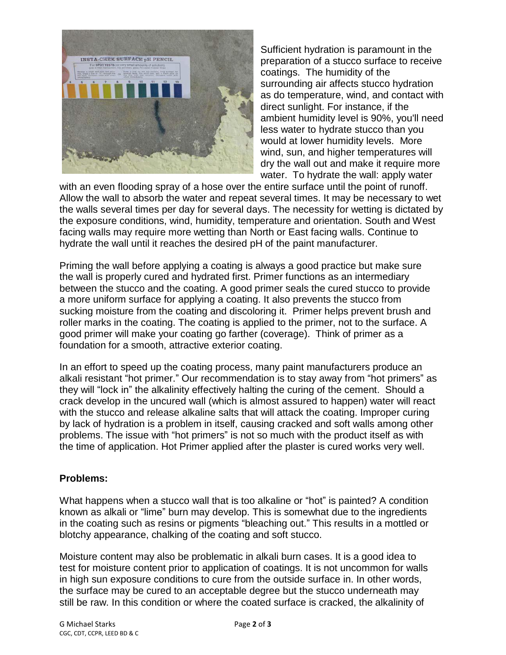

Sufficient hydration is paramount in the preparation of a stucco surface to receive coatings. The humidity of the surrounding air affects stucco hydration as do temperature, wind, and contact with direct sunlight. For instance, if the ambient humidity level is 90%, you'll need less water to hydrate stucco than you would at lower humidity levels. More wind, sun, and higher temperatures will dry the wall out and make it require more water. To hydrate the wall: apply water

with an even flooding spray of a hose over the entire surface until the point of runoff. Allow the wall to absorb the water and repeat several times. It may be necessary to wet the walls several times per day for several days. The necessity for wetting is dictated by the exposure conditions, wind, humidity, temperature and orientation. South and West facing walls may require more wetting than North or East facing walls. Continue to hydrate the wall until it reaches the desired pH of the paint manufacturer.

Priming the wall before applying a coating is always a good practice but make sure the wall is properly cured and hydrated first. Primer functions as an intermediary between the stucco and the coating. A good primer seals the cured stucco to provide a more uniform surface for applying a coating. It also prevents the stucco from sucking moisture from the coating and discoloring it. Primer helps prevent brush and roller marks in the coating. The coating is applied to the primer, not to the surface. A good primer will make your coating go farther (coverage). Think of primer as a foundation for a smooth, attractive exterior coating.

In an effort to speed up the coating process, many paint manufacturers produce an alkali resistant "hot primer." Our recommendation is to stay away from "hot primers" as they will "lock in" the alkalinity effectively halting the curing of the cement. Should a crack develop in the uncured wall (which is almost assured to happen) water will react with the stucco and release alkaline salts that will attack the coating. Improper curing by lack of hydration is a problem in itself, causing cracked and soft walls among other problems. The issue with "hot primers" is not so much with the product itself as with the time of application. Hot Primer applied after the plaster is cured works very well.

## **Problems:**

What happens when a stucco wall that is too alkaline or "hot" is painted? A condition known as alkali or "lime" burn may develop. This is somewhat due to the ingredients in the coating such as resins or pigments "bleaching out." This results in a mottled or blotchy appearance, chalking of the coating and soft stucco.

Moisture content may also be problematic in alkali burn cases. It is a good idea to test for moisture content prior to application of coatings. It is not uncommon for walls in high sun exposure conditions to cure from the outside surface in. In other words, the surface may be cured to an acceptable degree but the stucco underneath may still be raw. In this condition or where the coated surface is cracked, the alkalinity of